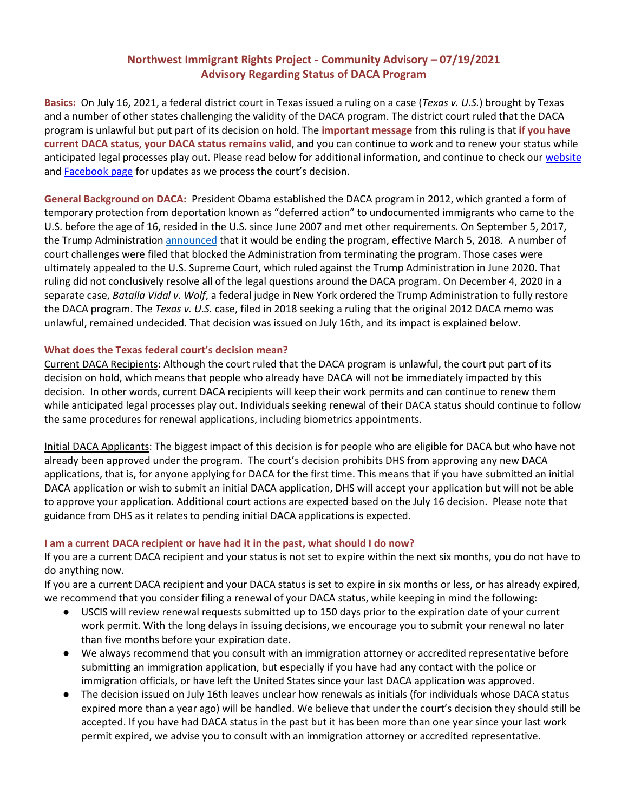## **Northwest Immigrant Rights Project - Community Advisory – 07/19/2021 Advisory Regarding Status of DACA Program**

**Basics:** On July 16, 2021, a federal district court in Texas issued a ruling on a case (*Texas v. U.S.*) brought by Texas and a number of other states challenging the validity of the DACA program. The district court ruled that the DACA program is unlawful but put part of its decision on hold. The **important message** from this ruling is that **if you have current DACA status, your DACA status remains valid**, and you can continue to work and to renew your status while anticipated legal processes play out. Please read below for additional information, and continue to check our [website](https://www.nwirp.org/daca/) and **Facebook page** for updates as we process the court's decision.

**General Background on DACA:** President Obama established the DACA program in 2012, which granted a form of temporary protection from deportation known as "deferred action" to undocumented immigrants who came to the U.S. before the age of 16, resided in the U.S. since June 2007 and met other requirements. On September 5, 2017, the Trump Administration [announced](https://www.dhs.gov/news/2017/09/05/memorandum-rescission-daca) that it would be ending the program, effective March 5, 2018. A number of court challenges were filed that blocked the Administration from terminating the program. Those cases were ultimately appealed to the U.S. Supreme Court, which ruled against the Trump Administration in June 2020. That ruling did not conclusively resolve all of the legal questions around the DACA program. On December 4, 2020 in a separate case, *Batalla Vidal v. Wolf*, a federal judge in New York ordered the Trump Administration to fully restore the DACA program. The *Texas v. U.S.* case, filed in 2018 seeking a ruling that the original 2012 DACA memo was unlawful, remained undecided. That decision was issued on July 16th, and its impact is explained below.

## **What does the Texas federal court's decision mean?**

Current DACA Recipients: Although the court ruled that the DACA program is unlawful, the court put part of its decision on hold, which means that people who already have DACA will not be immediately impacted by this decision. In other words, current DACA recipients will keep their work permits and can continue to renew them while anticipated legal processes play out. Individuals seeking renewal of their DACA status should continue to follow the same procedures for renewal applications, including biometrics appointments.

Initial DACA Applicants: The biggest impact of this decision is for people who are eligible for DACA but who have not already been approved under the program. The court's decision prohibits DHS from approving any new DACA applications, that is, for anyone applying for DACA for the first time. This means that if you have submitted an initial DACA application or wish to submit an initial DACA application, DHS will accept your application but will not be able to approve your application. Additional court actions are expected based on the July 16 decision. Please note that guidance from DHS as it relates to pending initial DACA applications is expected.

## **I am a current DACA recipient or have had it in the past, what should I do now?**

If you are a current DACA recipient and your status is not set to expire within the next six months, you do not have to do anything now.

If you are a current DACA recipient and your DACA status is set to expire in six months or less, or has already expired, we recommend that you consider filing a renewal of your DACA status, while keeping in mind the following:

- USCIS will review renewal requests submitted up to 150 days prior to the expiration date of your current work permit. With the long delays in issuing decisions, we encourage you to submit your renewal no later than five months before your expiration date.
- We always recommend that you consult with an immigration attorney or accredited representative before submitting an immigration application, but especially if you have had any contact with the police or immigration officials, or have left the United States since your last DACA application was approved.
- The decision issued on July 16th leaves unclear how renewals as initials (for individuals whose DACA status expired more than a year ago) will be handled. We believe that under the court's decision they should still be accepted. If you have had DACA status in the past but it has been more than one year since your last work permit expired, we advise you to consult with an immigration attorney or accredited representative.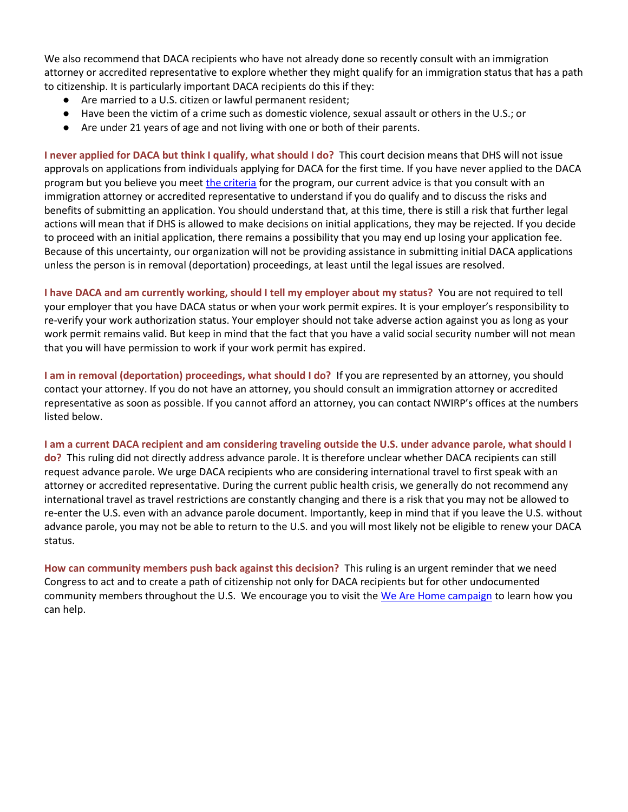We also recommend that DACA recipients who have not already done so recently consult with an immigration attorney or accredited representative to explore whether they might qualify for an immigration status that has a path to citizenship. It is particularly important DACA recipients do this if they:

- Are married to a U.S. citizen or lawful permanent resident;
- Have been the victim of a crime such as domestic violence, sexual assault or others in the U.S.; or
- Are under 21 years of age and not living with one or both of their parents.

**I never applied for DACA but think I qualify, what should I do?** This court decision means that DHS will not issue approvals on applications from individuals applying for DACA for the first time. If you have never applied to the DACA program but you believe you mee[t the criteria](https://www.uscis.gov/archive/consideration-of-deferred-action-for-childhood-arrivals-daca#guidelines) for the program, our current advice is that you consult with an immigration attorney or accredited representative to understand if you do qualify and to discuss the risks and benefits of submitting an application. You should understand that, at this time, there is still a risk that further legal actions will mean that if DHS is allowed to make decisions on initial applications, they may be rejected. If you decide to proceed with an initial application, there remains a possibility that you may end up losing your application fee. Because of this uncertainty, our organization will not be providing assistance in submitting initial DACA applications unless the person is in removal (deportation) proceedings, at least until the legal issues are resolved.

**I have DACA and am currently working, should I tell my employer about my status?** You are not required to tell your employer that you have DACA status or when your work permit expires. It is your employer's responsibility to re-verify your work authorization status. Your employer should not take adverse action against you as long as your work permit remains valid. But keep in mind that the fact that you have a valid social security number will not mean that you will have permission to work if your work permit has expired.

**I am in removal (deportation) proceedings, what should I do?** If you are represented by an attorney, you should contact your attorney. If you do not have an attorney, you should consult an immigration attorney or accredited representative as soon as possible. If you cannot afford an attorney, you can contact NWIRP's offices at the numbers listed below.

**I am a current DACA recipient and am considering traveling outside the U.S. under advance parole, what should I do?** This ruling did not directly address advance parole. It is therefore unclear whether DACA recipients can still request advance parole. We urge DACA recipients who are considering international travel to first speak with an attorney or accredited representative. During the current public health crisis, we generally do not recommend any international travel as travel restrictions are constantly changing and there is a risk that you may not be allowed to re-enter the U.S. even with an advance parole document. Importantly, keep in mind that if you leave the U.S. without advance parole, you may not be able to return to the U.S. and you will most likely not be eligible to renew your DACA status.

**How can community members push back against this decision?** This ruling is an urgent reminder that we need Congress to act and to create a path of citizenship not only for DACA recipients but for other undocumented community members throughout the U.S. We encourage you to visit the [We Are Home campaign](https://www.wearehome.us/) to learn how you can help.